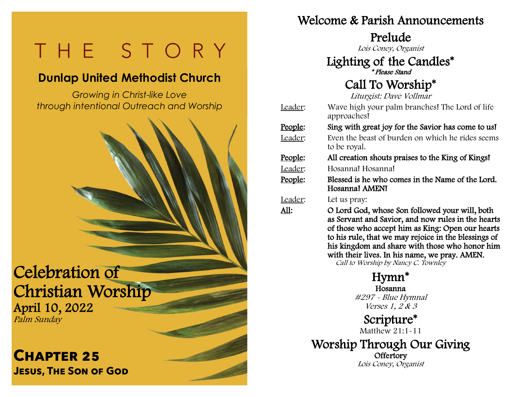# $\overline{\mathsf{C}}$  $\overline{\phantom{0}}$

# **Dunlap United Methodist Church**

*Growing in Christ-like Love through intentional Outreach and Worship*  $\overline{a}$ 

l,

**COLLA** 

j

Celebration of Christian Worship April 10, 2022 Palm Sunday

**Chapter 25 Jesus, The Son of God**

#### Welcome & Parish Announcements

Prelude

Lois Coney, Organist

#### Lighting of the Candles\* \* Please Stand

## Call To Worship\*

Liturgist: Dave Vollmar

| Leader:         | Wave high your palm branches! The Lord of life<br>approaches!                                                                                                                                                    |
|-----------------|------------------------------------------------------------------------------------------------------------------------------------------------------------------------------------------------------------------|
| <u>People:</u>  | Sing with great joy for the Savior has come to us!                                                                                                                                                               |
| Leader:         | Even the beast of burden on which he rides seems<br>to be royal.                                                                                                                                                 |
| <u> People:</u> | All creation shouts praises to the King of Kings!                                                                                                                                                                |
| Leader:         | Hosanna! Hosanna!                                                                                                                                                                                                |
| People:         | Blessed is he who comes in the Name of the Lord.<br>Hosannal AMENI                                                                                                                                               |
| Leader:         | Let us pray:                                                                                                                                                                                                     |
| All:            | O Lord God, whose Son followed your will, both<br>as Servant and Savior, and now rules in the hearts<br>of those who accept him as King: Open our hearts<br>to his rule, that we may rejoice in the blessings of |

 his kingdom and share with those who honor him with their lives. In his name, we pray. AMEN. Call to Worship by Nancy C. Townley

> Hymn\* Hosanna #297 - Blue Hymnal Verses 1, 2 & 3

Scripture\* Matthew 21:1-11

Worship Through Our Giving **Offertory** Lois Coney, Organist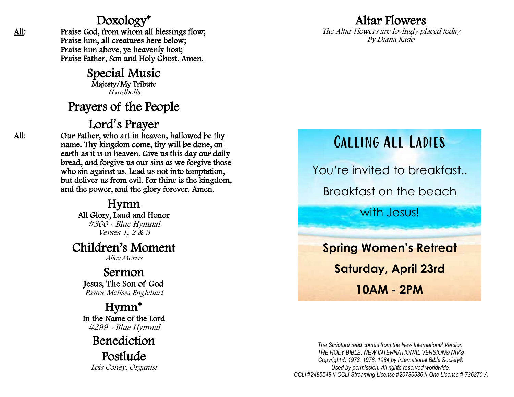#### Doxology\*

: Praise God, from whom all blessings flow; Praise him, all creatures here below; Praise him above, ye heavenly host; Praise Father, Son and Holy Ghost. Amen.

> Special Music Majesty/My Tribute Handbells

### Prayers of the People

### Lord **'**s Prayer

: Our Father, who art in heaven, hallowed be thy name. Thy kingdom come, thy will be done, on earth as it is in heaven. Give us this day our daily bread, and forgive us our sins as we forgive those who sin against us. Lead us not into temptation, but deliver us from evil. For thine is the kingdom, and the power, and the glory forever. Amen.

Hymn All Glory, Laud and Honor #300 - Blue Hymnal Verses 1, 2 & 3

#### Children's Moment

Alice Morris

Sermon Jesus, The Son of God Pastor Melissa Englehart

Hymn\* In the Name of the Lord #299 - Blue Hymnal

Benediction

Postlude Lois Coney, Organist

### Altar Flowers

The Altar Flowers are lovingly placed today By Diana Kado

# Calling All Ladies

You're invited to breakfast.. Breakfast on the beach

with **Jesus!** 

**Spring Women's Retreat Saturday, April 23rd 10AM - 2PM** 

*The Scripture read comes from the New International Version. THE HOLY BIBLE, NEW INTERNATIONAL VERSION® NIV® Copyright © 1973, 1978, 1984 by International Bible Society® Used by permission. All rights reserved worldwide. CCLI #2485548* // *CCLI Streaming License #20730636* // *One License # 736270 -A*

All: